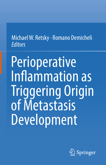# Michael W. Retsky· Romano Demicheli *Editors*

# Perioperative Inflammation as Triggering Origin of Metastasis Development

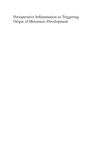# Perioperative Infammation as Triggering Origin of Metastasis Development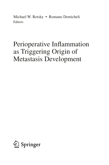Michael W. Retsky • Romano Demicheli Editors

# Perioperative Infammation as Triggering Origin of Metastasis Development

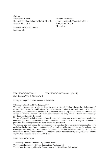*Editors* Michael W. Retsky Harvard TH Chan School of Public Health Boston, MA, USA

University College London London, UK

Romano Demicheli Istituto Nazionale Tumori di Milano Fondazione IRCCS Milan, Italy

DOI 10.1007/978-3-319-57943-6

ISBN 978-3-319-57942-9 ISBN 978-3-319-57943-6 (eBook)

Library of Congress Control Number: 2017943514

© Springer International Publishing AG 2017

This work is subject to copyright. All rights are reserved by the Publisher, whether the whole or part of the material is concerned, specifcally the rights of translation, reprinting, reuse of illustrations, recitation, broadcasting, reproduction on microflms or in any other physical way, and transmission or information storage and retrieval, electronic adaptation, computer software, or by similar or dissimilar methodology now known or hereafter developed.

The use of general descriptive names, registered names, trademarks, service marks, etc. in this publication does not imply, even in the absence of a specific statement, that such names are exempt from the relevant protective laws and regulations and therefore free for general use.

The publisher, the authors and the editors are safe to assume that the advice and information in this book are believed to be true and accurate at the date of publication. Neither the publisher nor the authors or the editors give a warranty, express or implied, with respect to the material contained herein or for any errors or omissions that may have been made. The publisher remains neutral with regard to jurisdictional claims in published maps and institutional affliations.

Printed on acid-free paper

This Springer imprint is published by Springer Nature The registered company is Springer International Publishing AG The registered company address is: Gewerbestrasse 11, 6330 Cham, Switzerland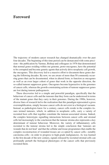## **Foreword**

The trajectory of modern cancer research has changed dramatically over the past four decades. The beginning of this time period can be demarcated with some precision—the publication by Varmus, Bishop and colleagues in 1976 that demonstrated that normal genes residing within our genome, proto-oncogenes, have the potential to be corrupted and become genetic agents that actively drive neoplastic cell growth, the oncogenes. This discovery led to a massive effort to document these genes during the following decades. By now, we are aware of more than 50 commonly occurring genes that can be documented, when in altered form, to function as oncogenes as well as an even larger cohort of genes that work in the opposite direction, the so-called tumour suppressor genes. Oncogenes become hyperactive in the genomes of cancer cells, whereas the growth-constraining actions of tumour suppressor genes are lost during tumour pathogenesis.

These discoveries led to a simple and powerful paradigm, specifcally that the behaviour of cancer cells and the tumours that they form can be understood in terms of the mutant genes that they carry in their genomes. During the 1990s, however, diverse lines of research led to the realization that this paradigm represented a gross oversimplifcation, simply because cancer cells do not exist in a biological vacuum. Instead, as pathologists knew for a century, cancer cells reside in the complex tissues termed tumours, which, in addition to neoplastic cells, carry a variety of recruited host cells that together constitute the tumour-associated stroma. Indeed, the complex heterotypic signalling interactions between cancer cells and stromal cells led increasingly to the conclusion that the tumour stroma also represents a key determinant of tumour behaviour. Moreover, the variety of infammatory cells recruited to the tumour stroma led to the simple conclusion that 'tumours are wounds that do not heal' and that the cellular and tissue programmes that enable the complex reconstruction of wounded tissues are co-opted by cancer cells—notably carcinoma cells—in order to progress to high-grade malignancies. As was learned in the frst decade of the new century, signals released by recruited stromal cells can profoundly perturb the biological phenotypes of the cancer cells that previously recruited them.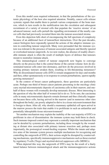Even this model soon required refnement, in that the perturbations of the systemic physiology of the host also required attention. Notably, cancer cells release systemic signals that enable them to perturb various components of the bone marrow, which in turn results in the mobilization into the circulation and subsequent recruitment of a variety of stromal cells that populate the 'reactive stroma' of an advanced tumour; such cells perturb the signalling environment of the nearby cancer cells that had previously recruited them into the tumour-associated stroma.

Even this depiction falls short of encompassing the full spectrum of complexity because of an additional facet of tumour/host interactions. Over the past decades, cancer biologists have repeatedly ignored the actions of the adaptive immune system in controlling tumour outgrowth. Many were persuaded that the immune system was tolerant to the presence of tumour-associated antigens and thereby ignored or overlooked tumour outgrowth. As we now realize, the absence of readily observable immune attack is often the result of multiple layers of defence that tumours mount to neutralize immune attack.

This immunological control of tumour outgrowth now begins to converge directly on the process that is the central theme of the current volume: how do disseminated tumour cells enter into dormancy, and how do the processes involved in treating primary tumours awaken them, resulting in life-threatening metastases? Why do disseminated tumour cells (DTCs) remain unapparent for days and months and then, either spontaneously or in response to certain perturbations, spawn rapidly growing metastases?

In the context of breast cancer pathogenesis, these questions are particularly acute. Perhaps one-third of breast cancer patients presenting in the oncology clinic carry myriad micrometastatic deposits of carcinoma cells in their marrow, and onehalf of these women will eventually develop metastatic disease. Most interesting is the question of why the other half of women fail to do so. To be sure, the carcinoma cells in many micrometastatic deposits remain dormant and thus clinically inapparent because these cells, having arrived in the marrow (and in numerous other sites throughout the body), are poorly adapted to thrive in a tissue microenvironment that is foreign to them. After all, why should a mammary epithelial cell upon arrival in the marrow possess the traits that enable it to proliferate in such an unfamiliar and potentially inhospitable tissue microenvironment?

Yet another mechanism may explain the inability of the vast majority of DTCs to proliferate in sites of dissemination: the immune system may hold them in check. Such immune-imposed control may represent a centrally important mechanism that can be derailed by systemic perturbations, including those wrought by the wounding at distant sites associated with primary tumour resection and, perhaps more importantly, the postsurgical wound-healing response. Whilst the innate and adaptive arms of the immune system possess multiple mechanisms for recognizing and controlling the outgrowth of DTCs, their actions might be disrupted by countervailing mechanisms, specifcally immunosuppressive mechanisms such as those exerted by regulatory T-cells (Tregs) and myeloid-derived suppressor cells (MDSCs).

When depicted this way, the outgrowth of DTCs may be the result of a finely tuned balance between immunological attack and the immunosuppressive actions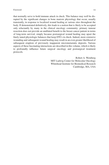that normally serve to hold immune attack in check. This balance may well be disrupted by the signifcant changes in bone marrow physiology that occur, usually transiently, in response to localized wound healing at various sites throughout the body. If demonstrated defnitively, this leads to a notion that is likely to be accepted only reluctantly by many in the clinical oncology community: primary tumour resection does not provide an undiluted beneft to the breast cancer patient in terms of long-term survival, simply because postsurgical wound healing may upset the fnely tuned physiologic balances that keep DTCs in check. Indeed, more extensive wounding and subsequent wound healing may result in an even greater likelihood of subsequent eruption of previously inapparent micrometastatic deposits. Various aspects of these fascinating interactions are described in this volume, which is likely to profoundly infuence future surgical oncology and postsurgical treatment protocols.

> Robert A. Weinberg MIT Ludwig Center for Molecular Oncology Whitehead Institute for Biomedical Research Cambridge, MA, USA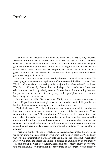### **Preface**

The authors of the chapters in this book are from the UK, USA, Italy, Nigeria, Australia, USA by way of Russia and Israel, UK by way of India, Denmark, Germany, Greece, and Belgium. One would think our intention was to have a geographically diverse representation of authors so as to get a worldwide perspective similar to the United Nations. But that was purely an accident. We did want a diverse group of authors and perspectives, but the topic for diversity was scientifc investigation not geographic location.

Let us explain. Our research has been by discovery rather than hypothesis. We were trying to understand the implications of anomalous clinical breast cancer data. We did not know where it was taking us, but we just followed our scientific instincts. With the aid of knowledge from various medical specialties, mathematical tools and other resources, we have gradually come to the conclusion that something dramatic happens at or about the time of primary surgery that precipitates most relapses in breast, lung and other cancers.

It also seems that this effect was known 2000 years ago but somehow got overlooked. Regardless of that, this topic must be considered a new feld. Hopefully, this book will stimulate new thinking and the generation of new data.

We looked around. Who else is doing some work that may be related to what we have found about the perioperative window? It turned out that there are some. What scientifc tools are used? All available tools! Actually, the diversity of tools and approaches attracted us since we promoted to the publisher that this book would be a jumping-off point for continued research as well as a reference for clinicians and scientists. We wanted to be inclusive with minimal overlap of research or clinical specialties. We have already crossed several medical boundaries so that is no longer a barrier.

There are a number of possible mechanisms that could account for this effect, but we do not know which are most involved or even if we know them all. We do know that systemic infammation plays a key role and that this lasts for about 1 week after surgery. We think the metastatic initiation process is amplifed by approximately 100-fold during the week post-surgery. Based on a retrospective study, a perioperative anti-infammatory intervention properly timed to the surgery would probably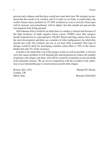prevent early relapses and that these would not come back later. We strongly recommend that this needs to be verifed, and if it works as we think, it could reduce the world's breast cancer problem by 25–50% at almost no cost or toxicity. Some egos will be bruised, and pocketbooks will be lighter, but that should not prevent this investigation from being pursued.

Sub-Saharan Africa would be an ideal place to conduct a clinical trial because of the high incidence of triple negative breast cancer (TNBC) since that category should respond best to a perioperative NSAID. Breast and lung cancers have been the most investigated, and there are a number of other malignancies for which this should also work, but evidence has not as yet been fully examined. This type of therapy would be ideal for developing countries where there is 70% of the cancer burden but only 5% of the resources.

It needs to be stated that even if this project works as well as possible, it will not solve the cancer problem. It will dramatically and inexpensively reduce the number of patients who relapse, but there will still be a need for treatments to prevent death from metastatic disease. We are not in competition with the excellent work underway to use immunotherapy to curtail tumour growth after relapse.

London, UK Milan, Italy Romano Demicheli

Boston, MA, USA Michael W. Retsky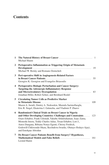# **Contents**

| $\mathbf{1}$            | Michael Baum                                                                                                                                                                                                                                                                                                                                                                                              |     |
|-------------------------|-----------------------------------------------------------------------------------------------------------------------------------------------------------------------------------------------------------------------------------------------------------------------------------------------------------------------------------------------------------------------------------------------------------|-----|
| $\mathbf{2}$            | Perioperative Inflammation as Triggering Origin of Metastasis<br>Michael W. Retsky and Romano Demicheli                                                                                                                                                                                                                                                                                                   | 19  |
| 3                       | <b>Peri-operative Shift in Angiogenesis-Related Factors</b><br>Georgios K. Georgiou and Evangelos Briasoulis                                                                                                                                                                                                                                                                                              | 55  |
| $\overline{\mathbf{4}}$ | <b>Perioperative Biologic Perturbation and Cancer Surgery:</b><br><b>Targeting the Adrenergic-Inflammatory Response</b><br>Jonathan Hiller, Robert Schier, and Bernhard Riedel                                                                                                                                                                                                                            |     |
| 5                       | <b>Circulating Tumor Cells as Predictive Marker</b><br>Mazen A. Juratli, Dmitry A. Nedosekin, Mustafa Sarimollaoglu,<br>Eric R. Siegel, Ekaterina I. Galanzha, and Vladimir P. Zharov                                                                                                                                                                                                                     | 109 |
| 6                       | Randomized Clinical Trials on Breast Cancer in Nigeria<br>and Other Developing Countries: Challenges and Constraints<br>Osaro Erhabor, Frank Udomah, Yakubu Abdulrahaman, Isaac Zama,<br>Momodu Imoru, Teddy Charles Adias, Tosan Erhabor, Lori J.,<br>Amos Dangana, Bibiana Nonye Egenti, Christy Fredrick,<br>Godswill Chikwendu Okara, Ikechukwu Iwueke, Olutayo Ifedayo Ajayi,<br>and Emokpae Abiodun | 123 |
| 7                       | Do Breast Cancer Patients Benefit from Surgery? Hypotheses,<br>Leonid Hanin                                                                                                                                                                                                                                                                                                                               |     |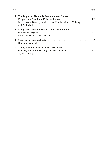| 8  | The Impact of Wound Inflammation on Cancer<br>Marie Louise Bønnelykke-Behrndtz, Henrik Schmidt, Yi Feng,<br>and Paul Martin |  |
|----|-----------------------------------------------------------------------------------------------------------------------------|--|
| 9  | <b>Long Term Consequences of Acute Inflammation</b><br>Patrice Forget and Marc De Kock                                      |  |
| 10 | Romano Demicheli                                                                                                            |  |
| 11 | The Systemic Effects of Local Treatments<br>Jayant S. Vaidya                                                                |  |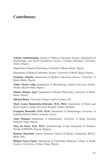# **Contributors**

**Yakubu Abdulrahaman** Faculty of Medical Laboratory Science, Department of Haematology and Blood Transfusion Science, Usmanu Danfodiyo University, Sokoto, Nigeria

Department of Human Physiology, University of Benin, Benin, Nigeria

Department of Medical Laboratory Science, University of Benin, Benin, Nigeria

**Emokpae Abiodun** Department of Medical Laboratory Science, University of Benin, Benin, Nigeria

**Teddy Charles Adias** Department of Microbiology, Federal University Otuoke, Otuoke, Bayelsa State, Nigeria

**Olutayo Ifedayo Ajayi** Department of Human Physiology, University of Benin, Benin, Nigeria

**Michael Baum** University College London, London, UK

**Marie Louise Bønnelykke-Behrndtz, M.D., Ph.D.** Department of Plastic and Breast Surgery, Aarhus University Hospital, Aarhus, Denmark

**Evangelos Briasoulis, M.D., Ph.D.** Department of Haematology, University of Ioannina Medical School, Ioannina, Greece

**Amos Dangana** Department of Haematology, University of Abuja Teaching Hospital, Abuja, Nigeria

**Marc De Kock, M.D., Ph.D.** Anesthesiology, Centre Hospitalier de Wallonie Picarde (CHWAPI), Tournai, Belgium

**Romano Demicheli** Istituto Nazionale Tumori di Milano, Fondazione IRCCS, Milan, Italy

**Bibiana Nonye Egenti** Department of Community Medicine, College of Health Sciences, University of Abuja, Abuja, Nigeria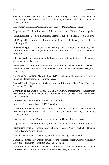**Osaro Erhabor** Faculty of Medical Laboratory Science, Department of Haematology and Blood Transfusion Science, Usmanu Danfodiyo University, Sokoto, Nigeria

Department of Human Physiology, University of Benin, Benin, Nigeria

Department of Medical Laboratory Science, University of Benin, Benin, Nigeria

**Tosan Erhabor** Medical Laboratory Science Council of Nigeria, Abuja, Nigeria

**Yi Feng** MRC Centre for Infammation Research, University of Edinburgh, Edinburgh, UK

**Patrice Forget, M.D., Ph.D.** Anesthesiology and Perioperative Medicine, Vrije Universiteit Brussel (VUB), Universitair Ziekenhuis Brussel (UZ Brussel), Brussels, Belgium

**Christy Fredrick** Department of Pathology, College of Health Sciences, University of Abuja, Abuja, Nigeria

**Ekaterina I. Galanzha** Winthrop P. Rockefeller Cancer Institute, Arkansas Nanomedicine Center, University of Arkansas for Medical Sciences (UAMS), Little Rock, AR, USA

**Georgios K. Georgiou, M.D., M.Sc., Ph.D.** Department of Surgery, University of Ioannina Medical School, Ioannina, Greece

**Leonid Hanin** Department of Mathematics and Statistics, Idaho State University, Pocatello, ID, USA

**Jonathan Hiller, MBBS (Hons.), GCEpi, FANZCA** Department of Anaesthesia, Perioperative and Pain Medicine, Peter MacCallum Cancer Centre, Melbourne, VIC, Australia

University of Melbourne, Parkville, VIC, Australia

Monash University, Clayton, VIC, Australia

**Momodu Imoru** Faculty of Medical Laboratory Science, Department of Haematology and Blood Transfusion Science, Usmanu Danfodiyo University, Sokoto, Nigeria

Department of Human Physiology, University of Benin, Benin, Nigeria

Department of Medical Laboratory Science, University of Benin, Benin, Nigeria

**Ikechukwu Iwueke** Department of Pathology, Federal Neuro Psychiatric Hospital Kware, Kware, Sokoto, Nigeria

**Lori J.** Department of Chemistry, Bingham University, Karu, Nigeria

**Mazen A. Juratli** Department of General and Visceral Surgery, Goethe-University Hospital of Frankfurt, Frankfurt am Main, Germany

Winthrop P. Rockefeller Cancer Institute, Arkansas Nanomedicine Center, University of Arkansas for Medical Sciences (UAMS), Little Rock, AR, USA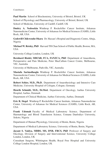**Paul Martin** School of Biochemistry, University of Bristol, Bristol, UK

School of Physiology and Pharmacology, University of Bristol, Bristol, UK

School of Medicine, University of Cardiff, Cardiff, UK

**Dmitry A. Nedosekin** Winthrop P. Rockefeller Cancer Institute, Arkansas Nanomedicine Center, University of Arkansas for Medical Sciences (UAMS), Little Rock, AR, USA

**Godswill Chikwendu Okara** Dr. Hassan's Hospital and Diagnostic Centre, Abuja, Nigeria

**Michael W. Retsky, PhD** Harvard TH Chan School of Public Health, Boston, MA, **IISA** 

University College London, London, UK

**Bernhard Riedel, MBChB, FCA, FANZCA, PhD** Department of Anaesthesia, Perioperative and Pain Medicine, Peter MacCallum Cancer Centre, Melbourne, VIC, Australia

University of Melbourne, Parkville, VIC, Australia

**Mustafa Sarimollaoglu** Winthrop P. Rockefeller Cancer Institute, Arkansas Nanomedicine Center, University of Arkansas for Medical Sciences (UAMS), Little Rock, AR, USA

**Robert Schier, M.D., Ph.D.** Department of Anaesthesiology and Intensive Care Medicine, University Hospital of Cologne, Cologne, Germany

**Henrik Schmidt, M.D., Dr.Med.** Department of Oncology, Aarhus University Hospital, Aarhus, Denmark

Department of Clinical Medicine, Aarhus University, Aarhus, Denmark

**Eric R. Siegel** Winthrop P. Rockefeller Cancer Institute, Arkansas Nanomedicine Center, University of Arkansas for Medical Sciences (UAMS), Little Rock, AR, USA

**Frank Udomah** Faculty of Medical Laboratory Science, Department of Haematology and Blood Transfusion Science, Usmanu Danfodiyo University, Sokoto, Nigeria

Department of Human Physiology, University of Benin, Benin, Nigeria

Department of Medical Laboratory Science, University of Benin, Benin, Nigeria

**Jayant S. Vaidya, MBBS, MS, DNB, FRCS, PhD** Professor of Surgery and Oncology, Division of Surgery and Interventional Science, University College London, London, UK

Consultant Surgeon, Whittington Health, Royal Free Hospital and University College London Hospital, London, UK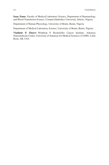**Isaac Zama** Faculty of Medical Laboratory Science, Department of Haematology and Blood Transfusion Science, Usmanu Danfodiyo University, Sokoto, Nigeria

Department of Human Physiology, University of Benin, Benin, Nigeria

Department of Medical Laboratory Science, University of Benin, Benin, Nigeria

**Vladimir P. Zharov** Winthrop P. Rockefeller Cancer Institute, Arkansas Nanomedicine Center, University of Arkansas for Medical Sciences (UAMS), Little Rock, AR, USA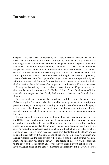## **Introduction**

Chapter 1. We have been collaborating on a cancer research project that will be discussed in this book that can trace its origin to an event in 1993. Retsky was attending a cancer conference in Europe and happened to notice a poster in the hallway outside the lecture hall presented by Demicheli. The poster showed a bimodal relapse hazard for patients treated at Demicheli's institution in Milan. The patients  $(N = 1073)$  were treated with mastectomy after diagnosis of breast cancer and followed up for over 15 years. These data were intriguing in that there was apparently a wave of relapses in the frst 3 years after surgery, then there was a period at 4 years with few relapses, and that was followed by a second wave of relapses that had a shallow peak at about 5–6 years after surgery and continued for 15 and more years.

Retsky had been doing research in breast cancer for about 10 years prior to this time, and Demicheli was on the staff of Milan National Cancer Institute as a clinical researcher for longer than that. Retsky had never seen data such as Demicheli was showing.

It is not incidental, but as we discovered later, both Retsky and Demicheli have PhDs in physics (Demicheli also has an MD). Among many other descriptions, physics is a way of thinking, and pursuing the implication of anomalous data plays a central role. To illustrate, the most important discoveries by the most highly regarded physicists in history can be traced to understanding the meaning of anomalous data.

For one example of the importance of anomalous data in scientifc discovery, in the 1600s, Tycho Brache spent a number of years recording the position of the planets visible to him relative to the sun. Brache never got enough credit for what happened next, but Johannes Kepler obtained Brache's data and analysed it and to his surprise found the trajectories have distinct similarities that he reported as what are now known as Kepler's Laws. As one of these laws, Kepler found the planets orbited in an elliptical path with the sun as one of the two focal points. As another law, Kepler reported that the area swept by the planet's orbit per unit of time was constant. The third law was that the square of the period of the orbit was proportional to the cube of the semi-major axis of the ellipse. Isaac Newton considered these laws of Kepler based on the data from Brache and after inventing calculus derived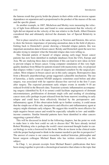the famous result that gravity holds the planets in their orbits with an inverse square dependence on separation and is proportional to the product of the masses of the sun and the specifc planet.

As another example, in 1887, Michelson and Morley were measuring the velocity of light from different stars and found to some amazement that the velocity of light did not depend on the velocity of the star relative to the Earth. Albert Einstein considered that and ultimately derived the dramatic law of Special Relativity in 1905.

Not to place ourselves in the same category as Newton and Einstein, this serves to show the historic importance of pursuing anomalous data in the feld of physics. Getting back to Demicheli's poster showing a bimodal relapse pattern, this was important anomalous data in breast cancer. Retsky and Demicheli spent the next two decades trying to interpret what the bimodal relapse data were telling us.

This bimodal pattern of hazard of relapse among early-stage breast cancer patients has now been identifed in multiple databases from the USA, Europe and Asia. We are studying these data to determine if this can lead to new ideas on how to prevent relapse in breast cancer. Using computer simulation of this very highquality database from Milan for patients treated with mastectomy only, we proposed that relapses within 3 years of surgery are stimulated somehow by the surgical procedure. Most relapses in breast cancer are in this early category. Retrospective data from a Brussels anaesthesiology group suggested a plausible mechanism. The use of ketorolac, a fairly common NSAID analgesic sometimes used before and after surgery, was associated with far superior disease-free survival in the frst 5 years after surgery. The expected prominent early relapse events in months 9–18 are reduced fvefold in the Brussels data. Transient systemic infammation accompanying surgery (identifed by IL-6 in serum) could facilitate angiogenesis of dormant micrometastases, proliferation of dormant single cells and seeding of circulating cancer stem cells (perhaps in part released from the bone marrow) resulting in early relapse and could have been effectively blocked by the perioperative antiinfammatory agent. If this observation holds up to further scrutiny, it could mean that the simple use of this safe, inexpensive and effective anti-infammatory agent at surgery might eliminate early relapses. We suggest this would be most effective for triple negative breast cancer and would be especially valuable in low- and middleincome countries. Similar bimodal patterns have been identifed in other cancers suggesting a general effect.

This will be discussed in detail in the following chapters, but the point we wish to make here is who best could we ask to discuss this? We have already invited Robert Weinberg who is perhaps the world's most renowned thought leader in cancer biology to write a foreword for this book. Who do we know in the clinical realm with the proper background to think in the manner needed to put this in perspective? The answer of course is our cancer researcher, medical historian, philosopher and breast surgeon colleague Michael Baum who has written extensively on this subject.

In Chap. 1, we present excerpts from Michael Baum's publications that have been strung together to provide a chronological narrative that relates to the topic that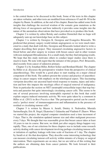is the central theme to be discussed in this book. Some of the texts in this chapter are taken verbatim, and other texts are modifed from references 43 and 48–50 in the chapter by Baum. In addition, at the end of his chapter, Baum has added some fresh insights that challenge the received wisdom of the somatic gene mutations as the driving force of oncogenesis and how indirectly it provides some insights into the nature of the anomalous observations that have provoked us to produce this book.

Chapter 2 is written by editor Retsky and coeditor Demicheli that we hope will adequately sum up our knowledge base on this subject.

Chapter 3 is written by Georgios K. Georgiou and Evangelos Briasoulis. We predicted that primary surgery would initiate angiogenesis so we were much interested in a study that dealt with this. Georgiou and Briasoulis looked ideal to write a chapter describing their project. They measured circulating angioactive factors in blood before and after surgery in women with breast cancer and in other women with non-malignant fbroadenoma. It is a small study, but they fnd intriguing results. We hope that this study motivates others to conduct larger studies since there is much to learn. We note with regret that the initiator of this project, Prof. Briasoulis, died recently from cancer of unknown primary.

Chapter 4 is by Jonathan Hiller, Robert Schier and Bernhard Riedel. The chapter by Hiller et al. discusses the perioperative window from the perspective of clinical anaesthesiology. This would be a good place to start reading on a major clinical component of this book. The authors present the science and practice of anaesthesiology in cancer surgery with emphasis on the teleological aspect. This fascinating viewpoint describes our ancestral hard-wired response to trauma, injury and infection and how this impacts the oncologic effect of surgical removal of malignancy. Note in particular the section on NET (neutrophil extracellular traps) that trap bacteria and parasites but quite interestingly circulating cancer cells. This seems to be one of several processes involving neutrophils reported in this book that could explain surgery-induced metastatic activity. We were quite taken by a comment in Hiller et al. (2013) in *Best Practices* that 'The perioperative period can be considered a 'perfect storm' of immunosuppression and infammation in the presence of residual or circulating tumour cells'.

Chapter 5 is written by Mazen A. Juratli, Dmitry A. Nedosekin, Mustafa Sarimollaoglu, Eric R. Siegel, Ekaterina I. Galanzha and Vladimir P. Zharov. When we started this project, the original computer simulation used a time increment of 5 days. That is, the simulation updated tumour size and other malignant processes every 5 days. We thought that was reasonable given that breast cancer takes at least 10 years to run its course. But now, we think just after surgery things happen very rapidly. Thus, one of our criterions for these chapters was to include some research activity dealing with cancer development involving perhaps circulating tumour cells or initiation of capillary leakage with time scale of fractions of 1 day. The chapter by Juratli et al. fts that description. They describe some interesting technology that can measure circulating tumour-cell activity within minutes of a biopsy or surgical intervention. Their experiments are on mice, but we are told as of this writing that the authors are obtaining data from cancer patients. We look forward to their publications.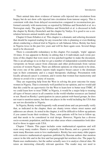Their animal data show evidence of tumour cells injected into circulation from biopsy but do not show cells injected into circulation from tumour surgery. This is consistent with data from delayed reconstruction compared to reconstruction performed currently with mastectomy as reported by Dillekas and Demicheli et al. in a Norwegian study. The paper by Dillekas and Demicheli et al. is discussed in both the chapter by Retsky-Demicheli and the chapter by Vaidya. It is good to see a correlation between animal models and clinical data.

Chapter 6 Osaro Erhabor et al. This chapter is a dramatic and sobering document that should be required reading for any researcher who is planning or even thinking about conducting a clinical trial in Nigeria or sub-Saharan Africa. Retsky has been in Nigeria twice in the past few years and will be there again soon. Several things need to be discussed.

There is considerable redundancy in this chapter. For example, 'triple' appears 16 times. It was apparent to Retsky in editing that 4–6 individuals each wrote portions of this chapter that were more or less patched together to make the document. This is an advantage to us in that we get a number of independent scientifc/medical viewpoints on breast cancer from clinicians and other professionals from various sections of western Nigeria. There are different opinions on what needs to be done, but every one of the authors reports triple negative breast cancer is the dominant type in their community and is a major therapeutic challenge. Presentation with locally advanced cancer is common, and it seems that women fear mastectomy and choose to avoid it for a variety of reasons.

They are requesting help from the West in solving the poor outcome for many women in Nigeria. That is extremely well justifed in our opinion, and we would add that this could be an *opportunity* for the West to learn how to better treat TNBC. If we could learn how to treat TNBC in Nigeria, it would be a major help to treating all types of breast cancer in all countries in the world whether resources are limited or not. Based on Retsky's participation in cancer patient web-based groups, he does not want to mention names, but there are places in the world including the USA that are not too dissimilar to Nigeria.

In Nigeria, Retsky would frequently walk around alone and can personally verify that, as indicated in the chapter, there are shanty towns where street names and addresses are absent. As noted in the chapter, it will be diffcult to follow up patients if you cannot locate their residence. Thus, some patients will be lost to follow up, and that needs to be considered in trial design. However, Nigeria has a diverse socio-economic population, and there are other areas where communities look identical to those in upper-scale USA.

Chapter 7 Hanin. This paper includes some mathematical equations and will scare away many readers. Hanin is originally from Russia, and as a general statement many Russians seem to love mathematics. Retsky has seen many older papers with extensive mathematical equations published by Russian authors that mention cancer in the title and in the frst and last paragraph but nowhere else. The paper by Hanin uses mathematics, but the author actually uses it to analyze clinical data. He raises an interesting clinically relevant question. The reader may not need to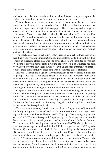understand details of the mathematics but should know enough to capture the author's intent and may cause him or her to think about this issue.

That leads to another reason why we include a mathematically oriented document here. Mathematics is considered the Queen of Sciences, but it seems to us that it too rarely appears in biological science papers. That is changing, and we hope this chapter will add more interest in the use of mathematics in clinical cancer research.

Chapter 8 Marie L. Bønnelykke-Behrndtz, Henrik Schmidt, Yi Feng, and Paul Martin. We wanted to include several chapters that deal with animal models and cancer. The chapter by Bønnelykke-Behrndtz et al. intrigued us since it used zebrafsh models that are translucent and it also reported a new mechanism that might explain surgery-induced metastatic activity in a melanoma model. This mechanism involves neutrophils that are discussed again in the chapters by Forget and De Kock and by Hiller et al.

The mechanism seen in zebrafsh is that preneoplastic cells attract neutrophils resulting from systemic infammation. The preneoplastic cells then start dividing. This is an intriguing effect. This was one of the chapters we submitted to Prof Bob Weinberg to provoke his thoughts in writing the foreword. Bob Weinberg has been very helpful over the past years in this research. It has been extremely valuable to bounce these counterintuitive ideas off a world-renowned cancer biologist.

It is only at the talking stage, but there is interest in a possible paired clinical trial of perioperative NSAID for breast cancer in Denmark and in Nigeria. Both countries would have the same or nearly same protocol, and the trialists would meet occasionally. Denmark has the highest incidence of breast cancer in the world, and health care is provided by the government so it is easy to understand their particularly high interest in reducing the morbidity and mortality from that disease.

Chapter 9. Patrice Forget and Marc De Kock. That something happened at or around the time of surgery to provoke early relapses was strongly indicated, but up until 2010, we had only vague notions of mechanisms and much less in the way of ideas on how to prevent these from occurring. A paper by Patrice Forget and Mark De Kock in 2010 produced a revolutionary change in our thinking. This is described in the chapter by Retsky-Demicheli.

To present an interesting descriptive event, Patrice Forget came to Boston with his family during the summer of 2012 or 2013 for a month. Retsky arranged meetings and seminars with some Harvard and MIT groups. One meeting in particular occurred at MIT where Retsky and Forget each gave 20-min presentations on the breast cancer project to a small group of postdocs and students at the Broad Institute. The moderator of the meeting was postdoc Jordan Krall of Weinberg's lab who is now doing some experimental work in this feld. Retsky gave his talk and Forget did likewise. Questions were then invited. One person sitting in the back row said, 'Breast cancer is a disease that runs its course in over 10 years. Are you telling us that most of the events leading to relapse years later occur in the frst week after surgery?' That short comment captured the essence of our research! We never did get this person's name, but we have used that comment in one form or another in our papers since then. After the meeting, Retsky reported that episode by e-mail to his colleagues in distant cities and countries. Mike Baum wrote back that this was an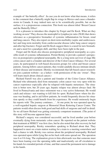example of 'the butterfy effect'. In case you do not know what that means, it refers to the comment that a butterfy might fap its wings in Mexico and cause a thunderstorm in Canada. It may indeed turn out to be scientifcally possible, but on the surface, it is a preposterous connection. This book was almost titled 'Breast Cancer and the Butterfy Effect'.

It is a pleasure to introduce this chapter by Forget and De Kock. What are they working on now? They discuss the neutrophil to lymphocyte ratio (NLR) that shows relevance as a preoperative biomarker of systemic infammation for breast, renal and lung cancers. They also report on short-term morbidity (septic and cardiovascular) and long-term mortality from cardiovascular disease (after lung cancer surgery and after hip fracture). Forget and De Kock suggest there is a need for new biomarkers and a need for a paradigm shift, and they have been right in the past.

Forget and De Kock also discuss postoperative peripheral neuropathy as a possible result of systemic infammation. Permit Retsky to provide a patient's perspective on postoperative peripheral neuropathy. He is a long-term survivor of stage IIIc colon cancer and is a founder and director of the Colon Cancer Alliance. For several years, he participated in web-based discussion groups for colon and breast cancer patients. Among fellow cancer patients, they would candidly discuss intimate details of their disease and treatment. (Retsky recommends that lab-based cancer researchers join a patient website—as a lurker—with permission of the site 'owner'. They will learn much about clinical cancer.)

Richard Farrell was also a patient and founder of the Colon Cancer Alliance. Richard who ultimately died from metastatic colon cancer was very open with his cancer experience especially after he relapsed with hepatic metastases. The situation is better now, but 20 years ago, hepatic relapse was almost always fatal. He lived in Pennsylvania and since retirement was a very active fsherman. He would catch and release—not wanting to kill fish for sport. Richard knew where his disease was heading, and to aid fellow patients, he would frequently discuss his situation openly so they could beneft from his experience. He would ominously begin his reports with 'The journey continues...'. At one point, he was operated upon by a well-regarded hepatic surgeon at Memorial Sloan Kettering Cancer Center. The patients would often discuss both good and bad skills of surgeons and staff in detail. So we all knew Richard was getting extremely competent treatment. (The point of this story will become apparent later.)

Richard's surgery was considered successful, and he lived another year before eventually dying from metastatic colon cancer. He reported on the patient website that treatment at MSKCC was frst class, but he also noted that after recovery he had peripheral neuropathy. Retsky remembers speaking to Richard about that. They happened to meet on a train station waiting for a train to a meeting somewhere and had a chance to talk. Retsky was curious about the peripheral neuropathy. Richard was operated upon whilst lying fat on his back with arms spread out. The operation was 6 or 8 h long. The explanation given to him afterwards was that someone must have been leaning over the operating table and inadvertently cut off circulation to his hands for extended periods of time, and that caused the permanent nerve damage in his hands.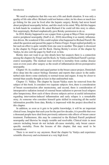We need to emphasize that this was not a life and death situation. It was only a quality of life side effect. Richard could not button a shirt, tie his shoes or much less go fshing for the year he lived after the hepatic surgery. Retsky had never heard about peripheral neuropathy before, and this stuck in his mind. Why did this happen in both hands he wondered. He asked Richard if he could tell this story to others. Not surprisingly, Richard emphatically gave Retsky permission to do so.

In 2010, Retsky happened to see a paper from a group at Mayo Clinic on postoperative peripheral neuropathy (Staff et al., 2010) describing it as mainly infammation driven. He wondered if this could explain what happened to Richard Farrell. He asked the question and passed the paper to Patrice Forget. Forget replied probably so but such an effect is quite variable from one case to another. This paper is discussed in the chapter by Forget and De Kock. During Retsky's review of the chapter by Vaidya, he also sent the paper by Staff et al. to him.

Retsky does not want to go into details here but suspects there is a connection among the chapters by Forget and De Kock, by Vaidya and Richard Farrell's perioperative neuropathy. The medical issue involved is mortality from cardiac disease soon or even years after surgery as the result of infammation-driven postoperative neuropathy.

Chapter 10. As coeditor and equal partner in the breast cancer project, Demicheli dives deep into the cancer biology literature and reports that cancer in the undisturbed state shows some similarity to normal tissue and organs. It may be closer to normal than usually thought at least in that undisturbed state.

Chapter 11. Vaidya. The chapter by Jayant Vaidya starts far removed from the subject of this book. It considers two separate subjects: frst, there is consideration of breast reconstruction after mastectomy, and second, there is consideration of intraoperative radiation instead of external beam radiation to prevent local relapses after lumpectomy. How each of these diverse subjects arrives at useful information regarding intervention-induced infammation and early relapse is a remarkable story. As someone who considers himself quite skilled in extracting all the useful information possible from data, Retsky is impressed with the project described in this chapter.

In addition, as soon as it gets to be public knowledge, it will be an important clinical issue. Imagine that each year for the past few decades, it is possible that over a thousand people have died from previously unknown side effects of breast cancer treatment. Furthermore, this may be connected to the Richard Farrell peripheral neuropathy and likewise be simply testable and resolvable. Clinical trials in most cancers including breast do not include all-cause mortality, only breast cancerspecifc mortality. From the lessons of this chapter, that may need to be reconsidered.

There is no need to say anymore. Read the chapter by Vaidya and experience scientifc discovery and excitement at a very high level.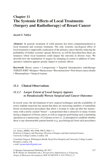# **Chapter 11 The Systemic Effects of Local Treatments (Surgery and Radiotherapy) of Breast Cancer**

#### **Jayant S. Vaidya**

**Abstract** In general, treatment of solid tumours has been compartmentalized as local treatment and systemic treatment. The only systemic oncological effect of local treatment is supposedly eradication of the primary cancer thereby reducing the probability of further systemic spread. However, as will be described here there are instances where local treatment could impact the outcome in diverse ways. We describe how the modulation of surgery by changing its extent or addition of intraoperative radiation appears greatly impact it systemic effects.

**Keywords** Breast cancer • Lumpectomy • Targeted intraoperative radiotherapy TARGIT IORT • Relapse • Mastectomy • Reconstruction • Non-breast cancer deaths • Mammoplasty • Surgical trauma

#### **11.1 Clinical Observations**

#### *11.1.1 Larger Extent of Local Surgery Appears to Paradoxically Worsen Surgical and Cancer Outcomes*

In recent years, the development of new surgical techniques and the availability of newer implant materials has meant that there are increasing numbers of immediate breast reconstruction procedures that allow a woman to wake up after her mastectomy with a newly created 'breast'—a proposition that is attractive to many women facing a diagnosis of breast cancer as well as surgeons performing such a mutilating operation as a mastectomy. A Cochrane review [[1,](#page-30-0) [2](#page-30-1)] attempted to establish whether there is any demonstrable patient beneft (e.g. psychological) from such procedures

J.S. Vaidya, MBBS, MS, DNB, FRCS, PhD ( $\boxtimes$ )

Professor of Surgery and Oncology, Division of Surgery and Interventional Science, University College London, London, UK

Consultant Surgeon, Whittington Health, Royal Free Hospital and University College London Hospital, London, UK e-mail: [jayantvaidya@gmail.com](mailto:jayantvaidya@gmail.com)

<sup>©</sup> Springer International Publishing AG 2017 227

M.W. Retsky, R. Demicheli (eds.), *Perioperative Infammation as Triggering Origin of Metastasis Development*, DOI 10.1007/978-3-319-57943-6\_11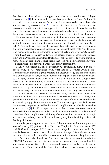but found no clear evidence to support immediate reconstruction over delayed reconstruction [[1\]](#page-30-0). In another study, the psychological distress at 1 year for immediate or delayed reconstruction was found to be similar to each other and to those who did not have any reconstruction [[2\]](#page-30-1). However, the beneft of performing a breast reconstruction after a mastectomy appears to be considered so obvious that, unlike most other breast cancer treatments, no good randomised evidence has been sought before widespread acceptance and adoption of various reconstructive techniques.

However, such a strategy ignores the fact that many of these take much longer to perform and involve extensive dissection of either local tissues or distant tissues (such as the latissimus dorsi fap or the deep inferior epigastric artery perforator fap— DIEP). New evidence is emerging that suggests these extensive surgical procedures at the time of surgical extirpation of cancer may not be oncologically safe. An interesting non-randomized study comes from the University of Ireland and involved 229 patients. These breast cancer patients underwent immediate breast reconstruction between 2004 and 2009 and the authors found that 23% of patients suffered a wound complication. This complication rate is much higher than seen when only a mastectomy without reconstruction is performed, when it, is usually less than 5%.

Many would suggest that this complication rate is unusually high, but in a more recent study (a rare randomised study published in December 2016) a large Scandinavian collaborative group reported in Lancet Oncology, the frst randomised trial of immediate vs. delayed reconstruction with implant + acellular dermal matrix [\[3](#page-30-2)], a highly commendable effort. This 142-patient trial had to be stopped early because the Data Monitoring Committee felt it was not safe to continue. When immediate reconstruction was performed, there were many more complications (46% of cases) and re-operations (37%), compared with delayed reconstruction (18% and 15%). So, the high complication rate in the Irish study was not unique.

The most worrisome observation in the Irish study was that those patients who had complications had a signifcantly lower 5-year relapse-free survival (64%) compared with those without complications (89%), a large difference that could not be explained by any patient or tumour factors. The authors suggest that the increased infammatory response incited by the wound complications may be detrimental to cancer survival [\[4](#page-30-3)]. It will be important to assess breast cancer and non-breast cancer survival in the longer term in the Scandinavian randomised trial to determine if any effect of the complications and timing of reconstruction is evident on oncological outcomes, although the small size of the study may limit the ability to detect all but large differences.

A similar picture appears to arise in the delayed reconstruction setting. A casecontrolled study [[5\]](#page-30-4) performed in a University Hospital in Norway between 1977 and 2007 which compared 312 patients with delayed reconstruction with 1341 matched controls found a remarkable peak hazard of relapse 18 months after reconstruction, similar to that normally observed at a similar time after the primary surgery. The authors also found that, 'the more extensive reconstruction modalities DIEP/TRAM procedures give rise to a higher early peak in comparison with unilateral implant surgery'. Such a dose-response relationship is usually characteristic of a causal link. They concluded that 'reconstructive breast cancer surgery constitutes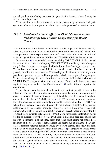an independent stimulating event on the growth of micro-metastases leading to accelerated relapse rates.'

These studies raise the real concern that increasing surgical trauma and perioperative infammatory response may be triggering the growth of metastatic disease.

#### *11.1.2 Local and Systemic Effects of TARGIT Intraoperative Radiotherapy Given during Lumpectomy for Breast Cancer*

The clinical data in the breast reconstruction studies appears to be supported by laboratory fndings looking at wound fuids that collect in the cavity left behind after a lumpectomy. These experiments were performed within the context of clinical trials of targeted intraoperative radiotherapy (TARGIT- IORT) for breast cancer.

In one study [\[6](#page-30-5)] that included patients receiving TARGIT IORT, fuid collected in the wounds of patients undergoing TARGIT IORT immediately after a lumpectomy for breast cancer was compared with fuid from those having just lumpectomy. The authors found that wound fuid from normal wounds stimulates cancer cell growth, motility and invasiveness. Remarkably, such stimulation is nearly completely abrogated when targeted intraoperative radiotherapy is given during surgery. There is a sea change in the constitution of the wound fuid in those who receive TARGIT IORT compared with those who do not. These results have been since replicated eight years later, by Zaleska et al. [\[7](#page-30-6)] with different experimental conditions.

There also seems to be clinical evidence to suggest that this effect seen in the laboratory may translate into clinical outcomes since the wound fuid is normally absorbed into circulation and it has been postulated that it could have systemic beneficial effects  $[8]$  $[8]$ . In the TARGIT-A trial  $[9-13]$  $[9-13]$ , 3451 patients undergoing lumpectomy for breast cancer were randomly allocated to receive either TARGIT IORT or whole breast external beam radiotherapy. In the analysis of deaths, there was no difference in breast cancer mortality, which was low in both arms of the trial. However, the trialists found a signifcantly lower non-breast cancer mortality for the TARGIT IORT patients (HR. 0.47;  $p = 0.0086$ ). The most likely explanation might be due to avoidance of whole breast irradiation. It has long been recognised that inadvertent irradiation of the lung, oesophagus and heart during tangential feld radiation of the breast leads to fatal cancers and deaths due to ischaemic heart disease. Therefore, targeted radiation would avoid such deaths. This view has been vindicated by a meta-analysis of randomised trials [\[14](#page-30-10)] of targeted vs. whole breast external beam radiotherapy (EBRT) which found that in the breast cancer populations where the breast cancer mortality is low (about 5%), the deleterious effect of whole breast radiation is unmasked and leads to an increased overall mortality thus using targeted radiation rather than whole breast radiation in such patients leads to an improvement in overall survival albeit by a small absolute amount (Figs. [11.1](#page-25-0) and [11.2\)](#page-25-1).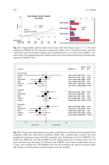<span id="page-25-0"></span>

**Fig. 11.1** Kaplan-Meier plot for deaths from causes other than breast cancer (17 vs. 35) in the randomised TARGIT-A trial, showing a signifcantly higher risk of non-breast-cancer mortality with whole breast fractionated radiation given postoperatively over several weeks (EBRT), compared with a risk-adapted single dose radiation delivered to the tumour bed during the lumpectomy operation (TARGIT) [\[10\]](#page-30-11)

<span id="page-25-1"></span>

**Fig. 11.2** Forest plots representing meta-analysis of difference in mortality between partial-breast irradiation (PBI) and whole-breast irradiation (WBI) with a random-effects model. The trials included for non-breast cancer (Non-BC) mortality were the Budapest trial [\[5](#page-30-4)], TARGIT-A [\[3\]](#page-30-2), ELIOT [[6](#page-30-5)], IMRT [[8\]](#page-30-7), and GEC-ESTRO [\[9](#page-30-8)]. The median follow-up of all these trials was 5–6 years. Data from only the initial 1222 patients in the TARGIT-A trial, whose median follow-up was 5 years, were included [[14](#page-30-10)]. The Budapest trial was not included in the analysis of breast cancer (BC) deaths or total deaths because these fgures were not available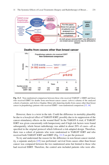<span id="page-26-0"></span>

#### Deaths from causes other than breast cancer



**Fig. 11.3** Non-randomised comparison between those who received TARGIT + EBRT and those who received EBRT for deaths from non-breast-cancer causes: (*above*) schema of the analysed cohorts of patients; and (*below*) Kaplan–Meier plot depicting deaths from causes other than breast cancer in prepathology patients who received EBRT—non-randomised comparison [\[13,](#page-30-9) [14\]](#page-30-10)

However, there is a twist in the tale. Could the difference in mortality plausibly be due to a *benefcial* effect of TARGIT-IORT, possibly due to its suppression of the cancer-stimulatory effects on the wound fuid? In the TARGIT-A trial, if TARGIT IORT was given concurrently with lumpectomy and if high risk factors were found subsequently, whole breast radiotherapy was added in about 20% of cases—all as specifed in the original protocol which followed a risk-adapted design. Therefore, there was a cohort of patients who were randomised to TARGIT IORT and who received both TARGIT IORT and EBRT (Fig. [11.3\)](#page-26-0) as per the protocol.

To try and understand the reason for the difference in non-breast-cancer mortality, a separate analysis [\[15](#page-31-0)] was performed: survival from causes other than breast cancer was compared between the two randomized arms but limited to those who had received EBRT. Therefore, the control arm included patients who were allo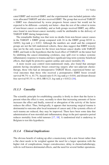cated EBRT and received EBRT, and the experimental arm included patients who were allocated TARGIT and also received EBRT. The group that received TARGIT + EBRT was characterised by worse prognosis breast cancer but would not be expected to be different—certainly not better—than the rest of the cohort in terms of non-breast cancer co-morbidity, and as both groups received EBRT, any difference found in non-breast-cancer mortality could be attributable to the delivery of TARGIT IORT during lumpectomy.

The remarkable fnding was that were no deaths from non-breast cancer causes in the TARGIT + EBRT group compared with 24 in the EBRT group 0/218 vs. 24/892, log-rank  $p = 0.012$ . Although the numbers are small and the compared groups are not the full randomised cohorts, these data suggest that EBRT toxicity may not be the only reason for the fewer non-breast cancer deaths with TARGIT IORT, and leads to the hypothesis that the local effect of TARGIT on the tumor bed by inhibiting the cancer-stimulating cytokines, may spill over to reduce systemic infammatory response to trauma and have signifcant long-term systemic benefcial effects, that might be protective against cardiac and cancer mortality [[8\]](#page-30-7).

A more recent case control (non-randomised) study, also found that amongst patients having oncoplastic breast conserving surgery after neo-adjuvant chemotherapy, those who had an intraoperative TARGIT Boost, experienced better survival outcomes than those who received a postoperative EBRT boost (overall survival 96.7% vs. 81.7%, hazard ratio 0.19, log rank  $p = 0.016$ , and distant-disease free survival 95.1% vs. 69.0, HR 0.23, log rank  $p = 0.012$  [[16\]](#page-31-1).

#### *11.1.3 Causality*

The scientifc principle for establishing causality is frstly to show that the factor is present when the effect is seen, secondly to show that increasing amounts of factor increases the effect and fnally, removal or abrogation of the activity of the factor reduces the effect. Thus, biologically, it appears that increasing surgical trauma is detrimental to outcome after local treatment of cancer and, if the systemic effects of such trauma are reduced, they may be improved. There have been some data that administration of non-steroidal anti-infammatory drugs in the peri-operative period reduces mortality from solid tumours [[17,](#page-31-2) [18\]](#page-31-3). A randomised trial is underway in Belgium to test this hypothesis.

#### *11.1.4 Clinical Implications*

The obvious beneft of waking up after a mastectomy with a new breast rather than a fat chest needs to be weighed against the need for a larger operation with the higher risk of complications, longer convalescence, delay in chemo/radiotherapy, with its well known detrimental effects, and the need for several further operations.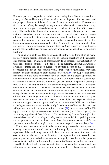From the patient's perspective, a decision about having immediate reconstruction is usually confounded by the signifcant shock of a new diagnosis of breast cancer and the prospect of removal of the whole breast. A nudge in the direction of "reconstruction is the norm" may be enough to sway someone whose main concern is surviving from the cancer to get convinced that she needs to have it at the time of the mastectomy. The availability of reconstruction can appear to make the prospect of a mastectomy acceptable, even when it is not indicated for oncological purposes. Before all these remarkable data were available and notwithstanding the lack of beneft seen in the Cochrane overview and other studies, it seemed appropriate to offer breast reconstruction as a reasonable option (from both the clinician and patient perspectives) during discussions about mastectomy. Such discussions would centre around patient preferences only, as there was not much evidence either for or against until now.

The same arguments also lead to concerns about the rising trend of using mammoplasty during breast conservation as well as cosmetic operations on the contralateral breast as part of treatment of breast cancer. To us surgeons, the justifcation for these procedures is 'obvious'—a 'better' cosmetic outcome. Unfortunately, there is a well-recognised lack of good evidence to support the use of major oncoplastic procedures aimed at a better cosmetic result, either for oncological safety or even an improved patient satisfaction about cosmetic outcome [[19\]](#page-31-4). Firstly, potential harms may arise from the additional burden about decisions about a bigger operation, yet another operation, longer recovery, reduced or loss of nipple sensation, psychological distress of decision about the other breast, as well as from the possible oncologic risks of increased surgical trauma and accompanying increased chance of surgical complications. Arguably, if the patient had been keen to have a cosmetic operation, she could have well considered it before the cancer diagnosis. The oncological safety of these more extensive procedures [\[6](#page-30-5)] has not been established in randomised clinical trials. One large series from a pioneer in the techniques reports a 5-year recurrence rate of 9.4% [\[20](#page-31-5)] which is several times higher than expected, although the authors suggest that the larger size of cancers or extensive DCIS may contribute to the higher recurrence rate. Another study found that use of implants is associated with poorer survival from subsequent breast cancer [\[21](#page-31-6)]. A recent study of lipofilling [\[22](#page-31-7)] found a high recurrence rate of 1.5% per year (i.e. 7.5% at 5 years). An accompanying editorial from Memorial Sloane Kettering Cancer Centre [\[23](#page-31-8)] has warned about the lack of oncological safety and recommended that lipoflling should not be performed outside a clinical trial. Most importantly, patient satisfaction appears to be similar with simple lumpectomy vs. therapeutic mammoplasty [[24\]](#page-31-9).

Postoperative radiation may affect the heart in many ways—the coronary arteries causing ischaemia, the muscle causing cardiomyopathy or even the nerves (neuropathy) and the conducting system of the heart, although we cannot fnd any previous mention of the latter in the literature. One speculation is to consider that post-surgical or post-radiotherapy cardiac neuropathy may be another possible mechanism to explain cardiac mortality as a result of breast cancer therapy. As suggested by Michael Retsky, we are aware that surgery can result in transient systemic infammation and post surgical peripheral neuropathy has been associated with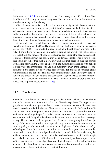infammation [\[18](#page-31-3), [25](#page-31-10)]. As a possible connection among these effects, immediate irradiation of the surgical wound may contribute to a reduction in infammation thereby reducing cardiac damage.

Given the new randomised evidence demonstrating a higher risk of complications, as well as evidence suggesting a real possibility of an oncologically detrimental effect of excessive trauma, the most prudent clinical approach is to ensure that patients are fully informed of the evidence that raises a doubt about the oncological safety of therapeutic mammoplasty procedures and breast reconstruction, along with a lack of beneft in terms of patient's satisfaction or psychological parameters.

A material change in relationship between a doctor and a patient has occurred with the publication of the United Kingdom ruling of the Montgomery vs. Lancashire case in early 2015. It is important to recognise that although this is law only in the UK, it could have far reaching implications around the world. The ruling sets a precedent over the process of obtaining informed consent and the need to discuss all options of treatment that the patient may consider reasonable. This is now a legal responsibility rather than just a moral duty and the fnal decision over the correct application rest with the Courts and not with the medical profession or with patient advocacy groups. Breast surgeons and staff must move away from a single 'recommendation' but offer a list of evidence-based options for patients to consider, along with their risks and benefts. This has wide ranging implications in surgery, particularly in the practice of oncoplastic breast surgery, largely because of near-complete lack of level-I evidence across the feld. This is one area where emerging new evidence may require a medical reversal [\[26](#page-31-11)].

#### **11.2 Conclusion**

Oncoplastic and breast reconstructive surgery takes time to deliver, is expensive to the health system, and lacks empirical proof of beneft to patients. This type of surgery is an anomaly amongst other breast cancer treatments that normally have been tested in randomised clinical trials. Given the recent evidence, in the least, immediate reconstruction, therapeutic mammoplasty, or contralateral 'symmetrisation procedures' can no longer be put forward to patients as a 'standard' treatment but as an option discussed along with the above evidence and concerns about their oncologic safety. The access to and the proportion of patients undergoing immediate (or delayed) breast reconstruction or oncoplastic surgery, should not be used as a measure of quality of a breast service, when there are legitimate doubts about the safety of such procedures. It is now an ethical imperative that these procedures should be subjected to testing in well-designed randomised clinical trials. Such trials may be diffcult to set up and perform, but randomisation has always been diffcult in surgical trials. In this case, such diffculty could be overcome by an honest appreciation of the current lack of knowledge about oncological impact, or the lack of defnite evidence of patient beneft from reconstructive/oncoplastic procedures. Achieving an equipoise is the important frst step in that direction.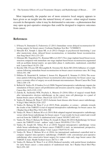Most importantly, the popular use of more extensive local surgery appears to have given us an insight into the natural history of cancer—when surgical trauma exceeds its therapeutic value it may be detrimental to outcome—a phenomenon that may open up peri-operative strategies that could be designed to improve outcomes from cancer.

#### **References**

- <span id="page-30-0"></span>1. D'Souza N, Darmanin G, Fedorowicz Z (2011) Immediate versus delayed reconstruction following surgery for breast cancer. Cochrane Database Syst Rev 7:CD008674
- <span id="page-30-1"></span>2. Metcalfe KA, Semple J, Quan ML et al (2012) Changes in psychosocial functioning 1 year after mastectomy alone, delayed breast reconstruction, or immediate breast reconstruction. Ann Surg Oncol 19(1):233–241
- <span id="page-30-2"></span>3. Dikmans RE, Negenborn VL, Bouman MB et al (2017) Two-stage implant-based breast reconstruction compared with immediate one-stage implant-based breast reconstruction augmented with an acellular dermal matrix: an open-label, phase 4, multicentre, randomised, controlled trial. Lancet Oncol 18:251–258
- <span id="page-30-3"></span>4. Beecher SM, O'Leary DP, McLaughlin R, Sweeney KJ, Kerin MJ (2016) Infuence of complications following immediate breast reconstruction on breast cancer recurrence rates. Br J Surg 103(4):391–398
- <span id="page-30-4"></span>5. Dillekas H, Demicheli R, Ardoino I, Jensen SA, Biganzoli E, Straume O (2016) The recurrence pattern following delayed breast reconstruction after mastectomy for breast cancer suggests a systemic effect of surgery on occult dormant micrometastases. Breast Cancer Res Treat 158(1):169–178
- <span id="page-30-5"></span>6. Belletti B, Vaidya JS, D'Andrea S et al (2008) Targeted intraoperative radiotherapy impairs the stimulation of breast cancer cell proliferation and invasion caused by surgical wounding. Clin Cancer Res 14(5):1325–1332
- <span id="page-30-6"></span>7. Zaleska K, Suchorska WM, Przybyla A, Murawa D (2016) Effect of surgical wound fuids after intraoperative electron radiotherapy on the cancer stem cell phenotype in a panel of human breast cancer cell lines. Oncol Lett 12(5):3707–3714
- <span id="page-30-7"></span>8. Vaidya JS, Bulsara M, Wenz F (2013) Ischemic heart disease after breast cancer radiotherapy. N Engl J Med 368(26):2526–2527
- <span id="page-30-8"></span>9. Vaidya JS, Bulsara M, Wenz F et al (2015) Pride, prejudice, or science – attitudes towards the results of the TARGIT-A trial of targeted intraoperative radiotherapy for breast cancer. Int J Radiat Oncol Biol Phys 92(3):494–500
- <span id="page-30-11"></span>10. Vaidya JS, Wenz F, Bulsara M et al (2014) Risk-adapted targeted intraoperative radiotherapy versus whole-breast radiotherapy for breast cancer: 5-year results for local control and overall survival from the TARGIT-A randomised trial. Lancet 383(9917):603–613
- 11. Vaidya JS, Wenz F, Bulsara M, Tobias JS, Joseph D, Baum M (2014) Radiotherapy for breast cancer, the TARGIT-A trial – authors' reply. Lancet 383(9930):1719–1720
- 12. Vaidya JS, Joseph DJ, Tobias JS et al (2010) Targeted intraoperative radiotherapy versus whole breast radiotherapy for breast cancer (TARGIT-A trial): an international, prospective, randomised, non-inferiority phase 3 trial. Lancet 376(9735):91–102
- <span id="page-30-9"></span>13. Vaidya JS, Wenz F, Bulsara M et al (2016) An international randomised controlled trial to compare targeted intra-operative radiotherapy (TARGIT) with conventional post-operative radiotherapy after conservative breast surgery for women with early stage breast cancer (the TARGIT-A trial). Health Technol Assess 20(73):1–188
- <span id="page-30-10"></span>14. Vaidya JS, Bulsara M, Wenz F et al (2016) Reduced mortality with partial-breast irradiation for early breast cancer: a meta-analysis of randomized trials. Int J Radiat Oncol Biol Phys 96(2):259–265